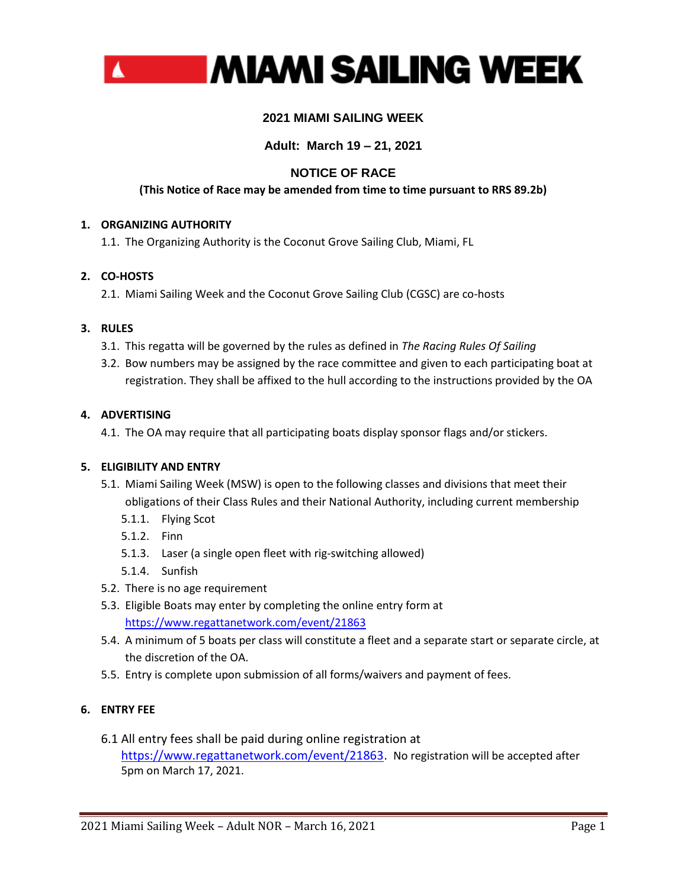

# **2021 MIAMI SAILING WEEK**

# **Adult: March 19 – 21, 2021**

# **NOTICE OF RACE**

# **(This Notice of Race may be amended from time to time pursuant to RRS 89.2b)**

## **1. ORGANIZING AUTHORITY**

1.1. The Organizing Authority is the Coconut Grove Sailing Club, Miami, FL

## **2. CO-HOSTS**

2.1. Miami Sailing Week and the Coconut Grove Sailing Club (CGSC) are co-hosts

## **3. RULES**

- 3.1. This regatta will be governed by the rules as defined in *The Racing Rules Of Sailing*
- 3.2. Bow numbers may be assigned by the race committee and given to each participating boat at registration. They shall be affixed to the hull according to the instructions provided by the OA

## **4. ADVERTISING**

4.1. The OA may require that all participating boats display sponsor flags and/or stickers.

### **5. ELIGIBILITY AND ENTRY**

- 5.1. Miami Sailing Week (MSW) is open to the following classes and divisions that meet their obligations of their Class Rules and their National Authority, including current membership
	- 5.1.1. Flying Scot
	- 5.1.2. Finn
	- 5.1.3. Laser (a single open fleet with rig-switching allowed)
	- 5.1.4. Sunfish
- 5.2. There is no age requirement
- 5.3. Eligible Boats may enter by completing the online entry form at <https://www.regattanetwork.com/event/21863>
- 5.4. A minimum of 5 boats per class will constitute a fleet and a separate start or separate circle, at the discretion of the OA.
- 5.5. Entry is complete upon submission of all forms/waivers and payment of fees.

# **6. ENTRY FEE**

6.1 All entry fees shall be paid during online registration at [https://www.regattanetwork.com/event/21863.](https://www.regattanetwork.com/event/21863) No registration will be accepted after 5pm on March 17, 2021.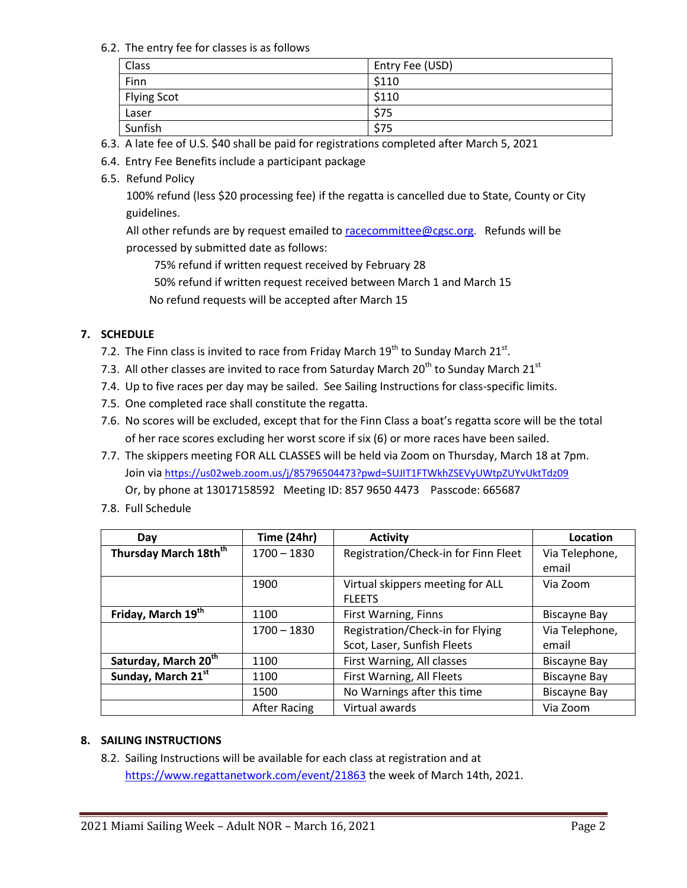## 6.2. The entry fee for classes is as follows

| Class              | Entry Fee (USD) |
|--------------------|-----------------|
| Finn               | \$110           |
| <b>Flying Scot</b> | \$110           |
| Laser              | \$75            |
| Sunfish            | \$75            |

- 6.3. A late fee of U.S. \$40 shall be paid for registrations completed after March 5, 2021
- 6.4. Entry Fee Benefits include a participant package
- 6.5. Refund Policy

100% refund (less \$20 processing fee) if the regatta is cancelled due to State, County or City guidelines.

All other refunds are by request emailed to [racecommittee@cgsc.org.](mailto:racecommittee@cgsc.org) Refunds will be processed by submitted date as follows:

75% refund if written request received by February 28

50% refund if written request received between March 1 and March 15

No refund requests will be accepted after March 15

# **7. SCHEDULE**

- 7.2. The Finn class is invited to race from Friday March  $19^{th}$  to Sunday March 21 $^{st}$ .
- 7.3. All other classes are invited to race from Saturday March  $20^{th}$  to Sunday March  $21^{st}$
- 7.4. Up to five races per day may be sailed. See Sailing Instructions for class-specific limits.
- 7.5. One completed race shall constitute the regatta.
- 7.6. No scores will be excluded, except that for the Finn Class a boat's regatta score will be the total of her race scores excluding her worst score if six (6) or more races have been sailed.
- 7.7. The skippers meeting FOR ALL CLASSES will be held via Zoom on Thursday, March 18 at 7pm. Join via <https://us02web.zoom.us/j/85796504473?pwd=SUJIT1FTWkhZSEVyUWtpZUYvUktTdz09> Or, by phone at 13017158592 Meeting ID: 857 9650 4473 Passcode: 665687
- 7.8. Full Schedule

| Day                               | Time (24hr)   | <b>Activity</b>                      | Location            |
|-----------------------------------|---------------|--------------------------------------|---------------------|
| Thursday March 18th <sup>th</sup> | $1700 - 1830$ | Registration/Check-in for Finn Fleet | Via Telephone,      |
|                                   |               |                                      | email               |
|                                   | 1900          | Virtual skippers meeting for ALL     | Via Zoom            |
|                                   |               | <b>FLEETS</b>                        |                     |
| Friday, March 19th                | 1100          | First Warning, Finns                 | <b>Biscayne Bay</b> |
|                                   | $1700 - 1830$ | Registration/Check-in for Flying     | Via Telephone,      |
|                                   |               | Scot, Laser, Sunfish Fleets          | email               |
| Saturday, March 20 <sup>th</sup>  | 1100          | First Warning, All classes           | <b>Biscayne Bay</b> |
| Sunday, March 21st                | 1100          | First Warning, All Fleets            | <b>Biscayne Bay</b> |
|                                   | 1500          | No Warnings after this time          | <b>Biscayne Bay</b> |
|                                   | After Racing  | Virtual awards                       | Via Zoom            |

# **8. SAILING INSTRUCTIONS**

8.2. Sailing Instructions will be available for each class at registration and at <https://www.regattanetwork.com/event/21863> the week of March 14th, 2021.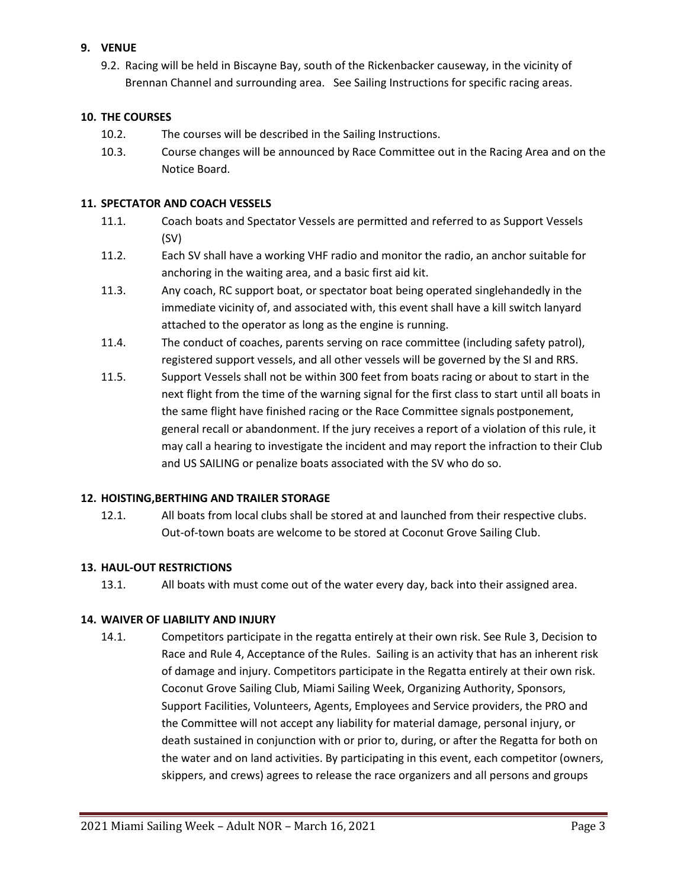# **9. VENUE**

9.2. Racing will be held in Biscayne Bay, south of the Rickenbacker causeway, in the vicinity of Brennan Channel and surrounding area. See Sailing Instructions for specific racing areas.

## **10. THE COURSES**

- 10.2. The courses will be described in the Sailing Instructions.
- 10.3. Course changes will be announced by Race Committee out in the Racing Area and on the Notice Board.

## **11. SPECTATOR AND COACH VESSELS**

- 11.1. Coach boats and Spectator Vessels are permitted and referred to as Support Vessels (SV)
- 11.2. Each SV shall have a working VHF radio and monitor the radio, an anchor suitable for anchoring in the waiting area, and a basic first aid kit.
- 11.3. Any coach, RC support boat, or spectator boat being operated singlehandedly in the immediate vicinity of, and associated with, this event shall have a kill switch lanyard attached to the operator as long as the engine is running.
- 11.4. The conduct of coaches, parents serving on race committee (including safety patrol), registered support vessels, and all other vessels will be governed by the SI and RRS.
- 11.5. Support Vessels shall not be within 300 feet from boats racing or about to start in the next flight from the time of the warning signal for the first class to start until all boats in the same flight have finished racing or the Race Committee signals postponement, general recall or abandonment. If the jury receives a report of a violation of this rule, it may call a hearing to investigate the incident and may report the infraction to their Club and US SAILING or penalize boats associated with the SV who do so.

### **12. HOISTING,BERTHING AND TRAILER STORAGE**

12.1. All boats from local clubs shall be stored at and launched from their respective clubs. Out-of-town boats are welcome to be stored at Coconut Grove Sailing Club.

# **13. HAUL-OUT RESTRICTIONS**

13.1. All boats with must come out of the water every day, back into their assigned area.

### **14. WAIVER OF LIABILITY AND INJURY**

14.1. Competitors participate in the regatta entirely at their own risk. See Rule 3, Decision to Race and Rule 4, Acceptance of the Rules. Sailing is an activity that has an inherent risk of damage and injury. Competitors participate in the Regatta entirely at their own risk. Coconut Grove Sailing Club, Miami Sailing Week, Organizing Authority, Sponsors, Support Facilities, Volunteers, Agents, Employees and Service providers, the PRO and the Committee will not accept any liability for material damage, personal injury, or death sustained in conjunction with or prior to, during, or after the Regatta for both on the water and on land activities. By participating in this event, each competitor (owners, skippers, and crews) agrees to release the race organizers and all persons and groups